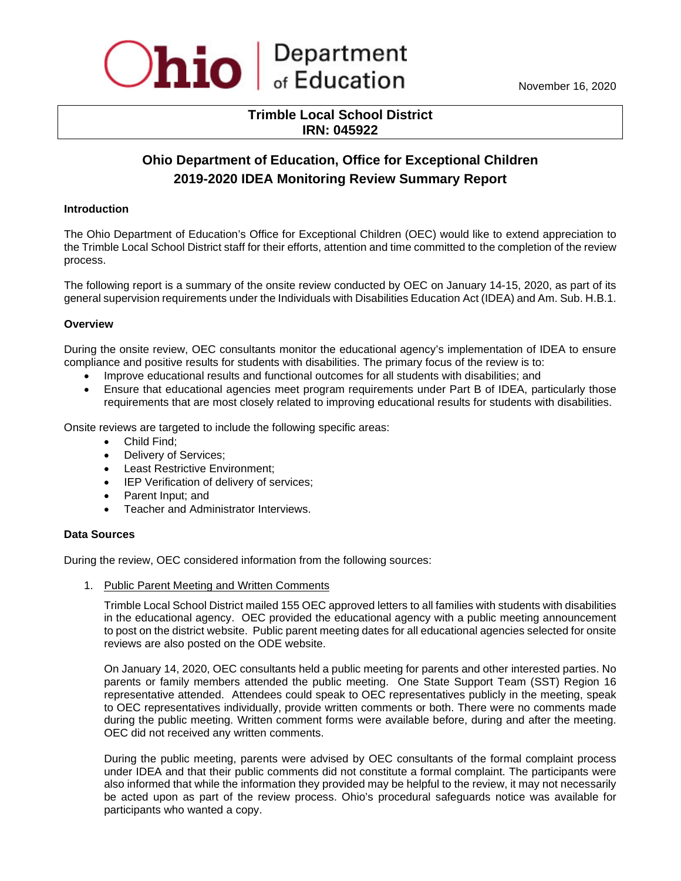

# **Trimble Local School District IRN: 045922**

# **Ohio Department of Education, Office for Exceptional Children 2019-2020 IDEA Monitoring Review Summary Report**

# **Introduction**

The Ohio Department of Education's Office for Exceptional Children (OEC) would like to extend appreciation to the Trimble Local School District staff for their efforts, attention and time committed to the completion of the review process.

The following report is a summary of the onsite review conducted by OEC on January 14-15, 2020, as part of its general supervision requirements under the Individuals with Disabilities Education Act (IDEA) and Am. Sub. H.B.1.

#### **Overview**

During the onsite review, OEC consultants monitor the educational agency's implementation of IDEA to ensure compliance and positive results for students with disabilities. The primary focus of the review is to:

- Improve educational results and functional outcomes for all students with disabilities; and
- Ensure that educational agencies meet program requirements under Part B of IDEA, particularly those requirements that are most closely related to improving educational results for students with disabilities.

Onsite reviews are targeted to include the following specific areas:

- Child Find;
- Delivery of Services;
- Least Restrictive Environment;
- IEP Verification of delivery of services;
- Parent Input; and
- Teacher and Administrator Interviews.

#### **Data Sources**

During the review, OEC considered information from the following sources:

1. Public Parent Meeting and Written Comments

Trimble Local School District mailed 155 OEC approved letters to all families with students with disabilities in the educational agency. OEC provided the educational agency with a public meeting announcement to post on the district website. Public parent meeting dates for all educational agencies selected for onsite reviews are also posted on the ODE website.

On January 14, 2020, OEC consultants held a public meeting for parents and other interested parties. No parents or family members attended the public meeting. One State Support Team (SST) Region 16 representative attended. Attendees could speak to OEC representatives publicly in the meeting, speak to OEC representatives individually, provide written comments or both. There were no comments made during the public meeting. Written comment forms were available before, during and after the meeting. OEC did not received any written comments.

During the public meeting, parents were advised by OEC consultants of the formal complaint process under IDEA and that their public comments did not constitute a formal complaint. The participants were also informed that while the information they provided may be helpful to the review, it may not necessarily be acted upon as part of the review process. Ohio's procedural safeguards notice was available for participants who wanted a copy.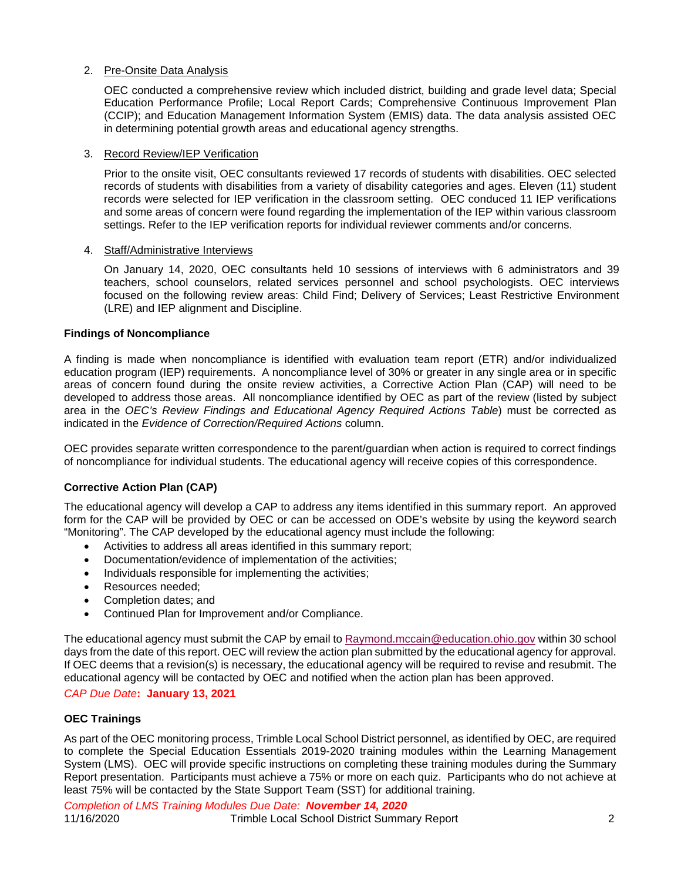# 2. Pre-Onsite Data Analysis

OEC conducted a comprehensive review which included district, building and grade level data; Special Education Performance Profile; Local Report Cards; Comprehensive Continuous Improvement Plan (CCIP); and Education Management Information System (EMIS) data. The data analysis assisted OEC in determining potential growth areas and educational agency strengths.

# 3. Record Review/IEP Verification

Prior to the onsite visit, OEC consultants reviewed 17 records of students with disabilities. OEC selected records of students with disabilities from a variety of disability categories and ages. Eleven (11) student records were selected for IEP verification in the classroom setting. OEC conduced 11 IEP verifications and some areas of concern were found regarding the implementation of the IEP within various classroom settings. Refer to the IEP verification reports for individual reviewer comments and/or concerns.

# 4. Staff/Administrative Interviews

On January 14, 2020, OEC consultants held 10 sessions of interviews with 6 administrators and 39 teachers, school counselors, related services personnel and school psychologists. OEC interviews focused on the following review areas: Child Find; Delivery of Services; Least Restrictive Environment (LRE) and IEP alignment and Discipline.

# **Findings of Noncompliance**

A finding is made when noncompliance is identified with evaluation team report (ETR) and/or individualized education program (IEP) requirements. A noncompliance level of 30% or greater in any single area or in specific areas of concern found during the onsite review activities, a Corrective Action Plan (CAP) will need to be developed to address those areas. All noncompliance identified by OEC as part of the review (listed by subject area in the *OEC's Review Findings and Educational Agency Required Actions Table*) must be corrected as indicated in the *Evidence of Correction/Required Actions* column.

OEC provides separate written correspondence to the parent/guardian when action is required to correct findings of noncompliance for individual students. The educational agency will receive copies of this correspondence.

# **Corrective Action Plan (CAP)**

The educational agency will develop a CAP to address any items identified in this summary report. An approved form for the CAP will be provided by OEC or can be accessed on ODE's website by using the keyword search "Monitoring". The CAP developed by the educational agency must include the following:

- Activities to address all areas identified in this summary report;
- Documentation/evidence of implementation of the activities;
- Individuals responsible for implementing the activities;
- Resources needed;
- Completion dates; and
- Continued Plan for Improvement and/or Compliance.

The educational agency must submit the CAP by email to [Raymond.mccain@education.ohio.gov](mailto:Raymond.mccain@education.ohio.gov) within 30 school days from the date of this report. OEC will review the action plan submitted by the educational agency for approval. If OEC deems that a revision(s) is necessary, the educational agency will be required to revise and resubmit. The educational agency will be contacted by OEC and notified when the action plan has been approved.

#### *CAP Due Date***: January 13, 2021**

# **OEC Trainings**

As part of the OEC monitoring process, Trimble Local School District personnel, as identified by OEC, are required to complete the Special Education Essentials 2019-2020 training modules within the Learning Management System (LMS). OEC will provide specific instructions on completing these training modules during the Summary Report presentation. Participants must achieve a 75% or more on each quiz. Participants who do not achieve at least 75% will be contacted by the State Support Team (SST) for additional training.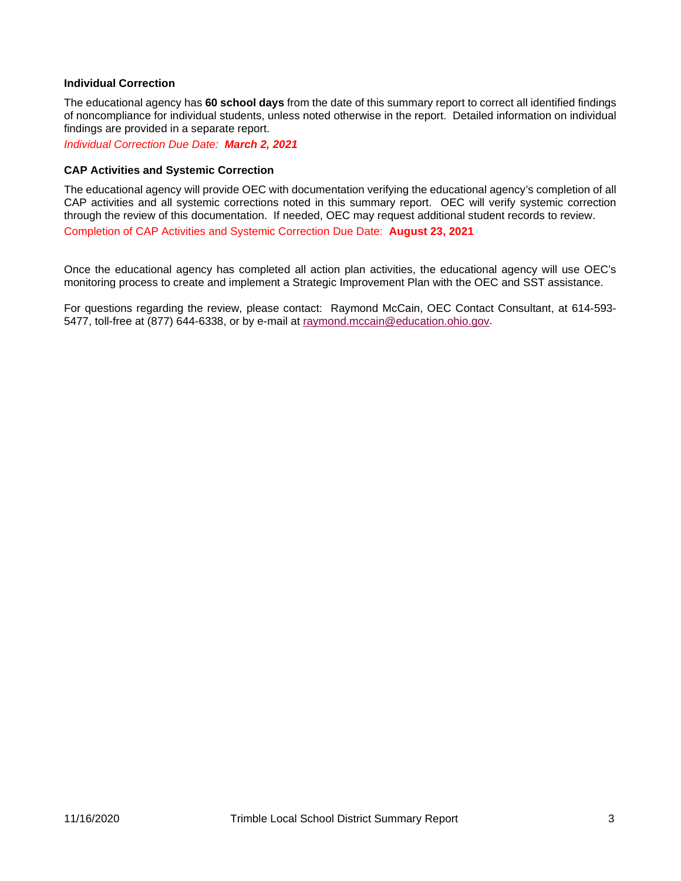#### **Individual Correction**

The educational agency has **60 school days** from the date of this summary report to correct all identified findings of noncompliance for individual students, unless noted otherwise in the report. Detailed information on individual findings are provided in a separate report.

*Individual Correction Due Date: March 2, 2021*

#### **CAP Activities and Systemic Correction**

The educational agency will provide OEC with documentation verifying the educational agency's completion of all CAP activities and all systemic corrections noted in this summary report. OEC will verify systemic correction through the review of this documentation. If needed, OEC may request additional student records to review.

Completion of CAP Activities and Systemic Correction Due Date: **August 23, 2021**

Once the educational agency has completed all action plan activities, the educational agency will use OEC's monitoring process to create and implement a Strategic Improvement Plan with the OEC and SST assistance.

For questions regarding the review, please contact:Raymond McCain, OEC Contact Consultant, at 614-593- 5477, toll-free at (877) 644-6338, or by e-mail at [raymond.mccain@education.ohio.gov.](mailto:raymond.mccain@education.ohio.gov)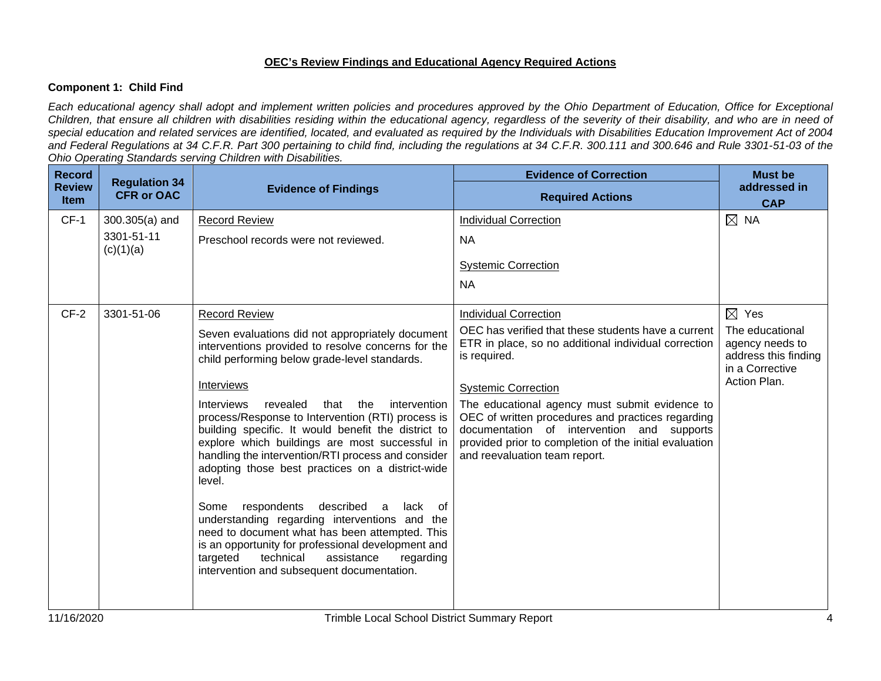# **OEC's Review Findings and Educational Agency Required Actions**

# **Component 1: Child Find**

*Each educational agency shall adopt and implement written policies and procedures approved by the Ohio Department of Education, Office for Exceptional Children, that ensure all children with disabilities residing within the educational agency, regardless of the severity of their disability, and who are in need of special education and related services are identified, located, and evaluated as required by the Individuals with Disabilities Education Improvement Act of 2004 and Federal Regulations at 34 C.F.R. Part 300 pertaining to child find, including the regulations at 34 C.F.R. 300.111 and 300.646 and Rule 3301-51-03 of the Ohio Operating Standards serving Children with Disabilities.* 

| <b>Record</b><br><b>Review</b><br><b>Item</b> | <b>Regulation 34</b><br><b>CFR or OAC</b>   | <b>Evidence of Findings</b>                                                                                                                                                                                                                                                                                                                                                                                                                                                                                                                                                                                                                                                                                                                                                                                                                                    | <b>Evidence of Correction</b><br><b>Required Actions</b>                                                                                                                                                                                                                                                                                                                                                                                  | <b>Must be</b><br>addressed in<br><b>CAP</b>                                                                     |
|-----------------------------------------------|---------------------------------------------|----------------------------------------------------------------------------------------------------------------------------------------------------------------------------------------------------------------------------------------------------------------------------------------------------------------------------------------------------------------------------------------------------------------------------------------------------------------------------------------------------------------------------------------------------------------------------------------------------------------------------------------------------------------------------------------------------------------------------------------------------------------------------------------------------------------------------------------------------------------|-------------------------------------------------------------------------------------------------------------------------------------------------------------------------------------------------------------------------------------------------------------------------------------------------------------------------------------------------------------------------------------------------------------------------------------------|------------------------------------------------------------------------------------------------------------------|
| $CF-1$                                        | $300.305(a)$ and<br>3301-51-11<br>(c)(1)(a) | <b>Record Review</b><br>Preschool records were not reviewed.                                                                                                                                                                                                                                                                                                                                                                                                                                                                                                                                                                                                                                                                                                                                                                                                   | <b>Individual Correction</b><br><b>NA</b><br><b>Systemic Correction</b><br><b>NA</b>                                                                                                                                                                                                                                                                                                                                                      | $\boxtimes$ NA                                                                                                   |
| $CF-2$                                        | 3301-51-06                                  | <b>Record Review</b><br>Seven evaluations did not appropriately document<br>interventions provided to resolve concerns for the<br>child performing below grade-level standards.<br>Interviews<br>revealed<br><b>Interviews</b><br>that<br>the<br>intervention<br>process/Response to Intervention (RTI) process is<br>building specific. It would benefit the district to<br>explore which buildings are most successful in<br>handling the intervention/RTI process and consider<br>adopting those best practices on a district-wide<br>level.<br>Some<br>respondents<br>described<br>lack of<br>a<br>understanding regarding interventions and the<br>need to document what has been attempted. This<br>is an opportunity for professional development and<br>technical<br>assistance<br>targeted<br>regarding<br>intervention and subsequent documentation. | <b>Individual Correction</b><br>OEC has verified that these students have a current<br>ETR in place, so no additional individual correction<br>is required.<br><b>Systemic Correction</b><br>The educational agency must submit evidence to<br>OEC of written procedures and practices regarding<br>documentation of intervention and supports<br>provided prior to completion of the initial evaluation<br>and reevaluation team report. | $\boxtimes$ Yes<br>The educational<br>agency needs to<br>address this finding<br>in a Corrective<br>Action Plan. |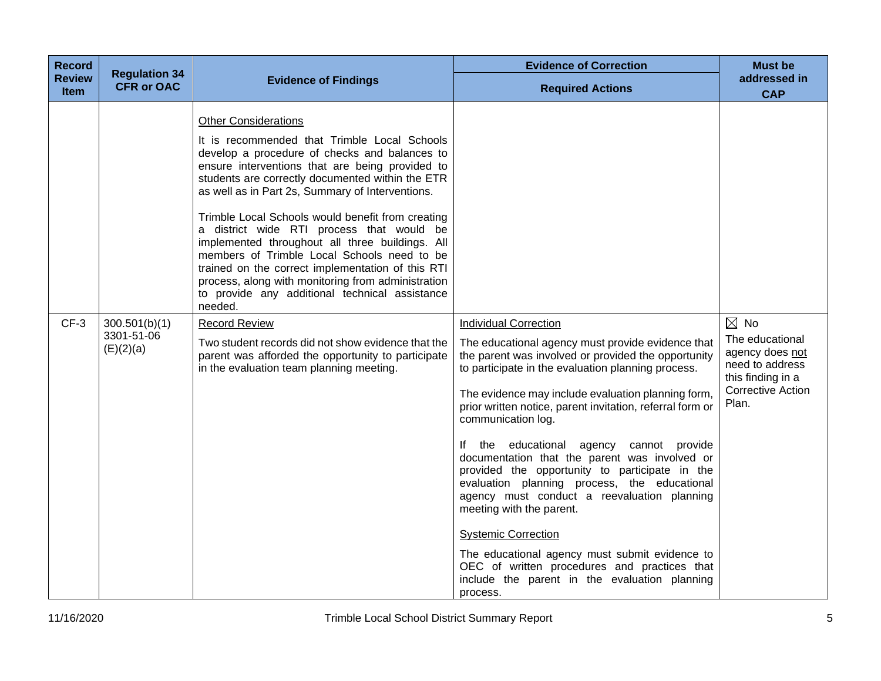| <b>Record</b>                | <b>Regulation 34</b>                     |                                                                                                                                                                                                                                                                                                                                                                                                                                                                                                                                                                                                                                                                     | <b>Evidence of Correction</b>                                                                                                                                                                                                                                                                                                                                                                                                                                                                                                                                                                                                                                                                                                                                                                                  | <b>Must be</b>                                                                                                                    |
|------------------------------|------------------------------------------|---------------------------------------------------------------------------------------------------------------------------------------------------------------------------------------------------------------------------------------------------------------------------------------------------------------------------------------------------------------------------------------------------------------------------------------------------------------------------------------------------------------------------------------------------------------------------------------------------------------------------------------------------------------------|----------------------------------------------------------------------------------------------------------------------------------------------------------------------------------------------------------------------------------------------------------------------------------------------------------------------------------------------------------------------------------------------------------------------------------------------------------------------------------------------------------------------------------------------------------------------------------------------------------------------------------------------------------------------------------------------------------------------------------------------------------------------------------------------------------------|-----------------------------------------------------------------------------------------------------------------------------------|
| <b>Review</b><br><b>Item</b> | <b>CFR or OAC</b>                        | <b>Evidence of Findings</b>                                                                                                                                                                                                                                                                                                                                                                                                                                                                                                                                                                                                                                         | <b>Required Actions</b>                                                                                                                                                                                                                                                                                                                                                                                                                                                                                                                                                                                                                                                                                                                                                                                        | addressed in<br><b>CAP</b>                                                                                                        |
|                              |                                          | <b>Other Considerations</b><br>It is recommended that Trimble Local Schools<br>develop a procedure of checks and balances to<br>ensure interventions that are being provided to<br>students are correctly documented within the ETR<br>as well as in Part 2s, Summary of Interventions.<br>Trimble Local Schools would benefit from creating<br>a district wide RTI process that would be<br>implemented throughout all three buildings. All<br>members of Trimble Local Schools need to be<br>trained on the correct implementation of this RTI<br>process, along with monitoring from administration<br>to provide any additional technical assistance<br>needed. |                                                                                                                                                                                                                                                                                                                                                                                                                                                                                                                                                                                                                                                                                                                                                                                                                |                                                                                                                                   |
| $CF-3$                       | 300.501(b)(1)<br>3301-51-06<br>(E)(2)(a) | <b>Record Review</b><br>Two student records did not show evidence that the<br>parent was afforded the opportunity to participate<br>in the evaluation team planning meeting.                                                                                                                                                                                                                                                                                                                                                                                                                                                                                        | <b>Individual Correction</b><br>The educational agency must provide evidence that<br>the parent was involved or provided the opportunity<br>to participate in the evaluation planning process.<br>The evidence may include evaluation planning form,<br>prior written notice, parent invitation, referral form or<br>communication log.<br>If the educational agency cannot provide<br>documentation that the parent was involved or<br>provided the opportunity to participate in the<br>evaluation planning process, the educational<br>agency must conduct a reevaluation planning<br>meeting with the parent.<br><b>Systemic Correction</b><br>The educational agency must submit evidence to<br>OEC of written procedures and practices that<br>include the parent in the evaluation planning<br>process. | $\boxtimes$ No<br>The educational<br>agency does not<br>need to address<br>this finding in a<br><b>Corrective Action</b><br>Plan. |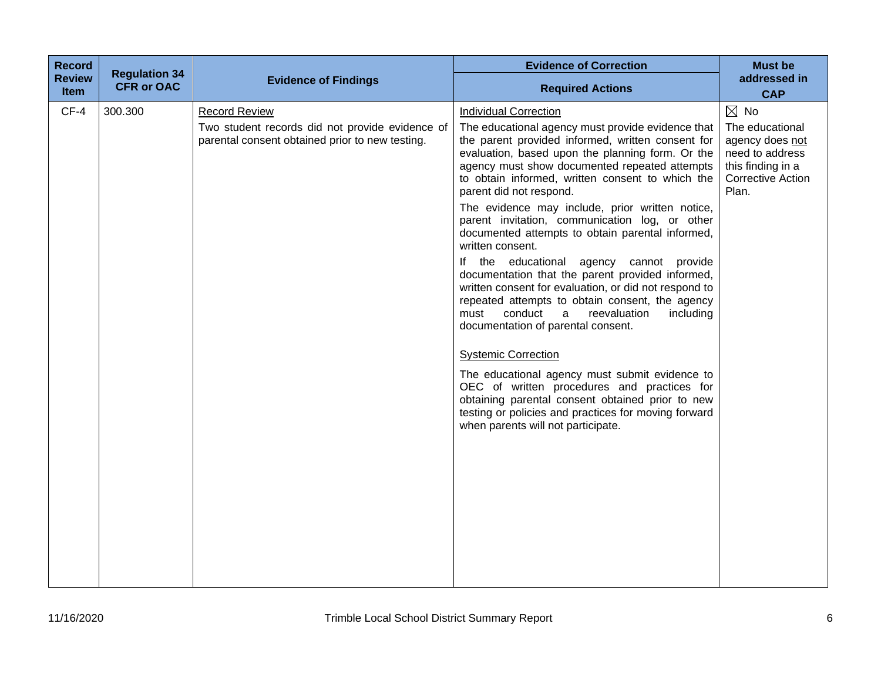| <b>Record</b>         | <b>Regulation 34</b> |                                                                                                                            | <b>Evidence of Correction</b>                                                                                                                                                                                                                                                                                                                                                                                                                                                                                                                                                                                                                                                                                                                                                                                                                                                                                                                                                                                                                                                                   | <b>Must be</b>                                                                                                                    |
|-----------------------|----------------------|----------------------------------------------------------------------------------------------------------------------------|-------------------------------------------------------------------------------------------------------------------------------------------------------------------------------------------------------------------------------------------------------------------------------------------------------------------------------------------------------------------------------------------------------------------------------------------------------------------------------------------------------------------------------------------------------------------------------------------------------------------------------------------------------------------------------------------------------------------------------------------------------------------------------------------------------------------------------------------------------------------------------------------------------------------------------------------------------------------------------------------------------------------------------------------------------------------------------------------------|-----------------------------------------------------------------------------------------------------------------------------------|
| <b>Review</b><br>Item | <b>CFR or OAC</b>    | <b>Evidence of Findings</b>                                                                                                | <b>Required Actions</b>                                                                                                                                                                                                                                                                                                                                                                                                                                                                                                                                                                                                                                                                                                                                                                                                                                                                                                                                                                                                                                                                         | addressed in<br><b>CAP</b>                                                                                                        |
| $CF-4$                | 300.300              | <b>Record Review</b><br>Two student records did not provide evidence of<br>parental consent obtained prior to new testing. | <b>Individual Correction</b><br>The educational agency must provide evidence that<br>the parent provided informed, written consent for<br>evaluation, based upon the planning form. Or the<br>agency must show documented repeated attempts<br>to obtain informed, written consent to which the<br>parent did not respond.<br>The evidence may include, prior written notice,<br>parent invitation, communication log, or other<br>documented attempts to obtain parental informed,<br>written consent.<br>If the educational agency cannot provide<br>documentation that the parent provided informed,<br>written consent for evaluation, or did not respond to<br>repeated attempts to obtain consent, the agency<br>conduct<br>reevaluation<br>including<br>must<br>a<br>documentation of parental consent.<br><b>Systemic Correction</b><br>The educational agency must submit evidence to<br>OEC of written procedures and practices for<br>obtaining parental consent obtained prior to new<br>testing or policies and practices for moving forward<br>when parents will not participate. | $\boxtimes$ No<br>The educational<br>agency does not<br>need to address<br>this finding in a<br><b>Corrective Action</b><br>Plan. |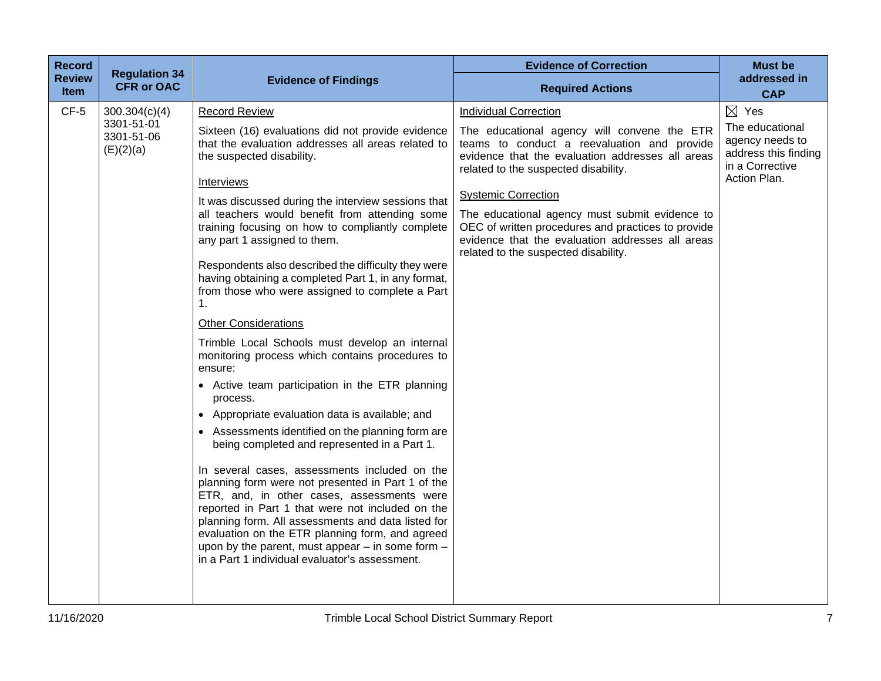| <b>Record</b>         | <b>Regulation 34</b>                  |                                                                                                                                                                                                                                                                                                                                                                                                                                                                                                                                                                                                                                                                                                                                                                                                                                                                                                                | <b>Evidence of Correction</b>                                                                                                                                                                                                                                                                                                                                                                                            | <b>Must be</b>                                                                                |
|-----------------------|---------------------------------------|----------------------------------------------------------------------------------------------------------------------------------------------------------------------------------------------------------------------------------------------------------------------------------------------------------------------------------------------------------------------------------------------------------------------------------------------------------------------------------------------------------------------------------------------------------------------------------------------------------------------------------------------------------------------------------------------------------------------------------------------------------------------------------------------------------------------------------------------------------------------------------------------------------------|--------------------------------------------------------------------------------------------------------------------------------------------------------------------------------------------------------------------------------------------------------------------------------------------------------------------------------------------------------------------------------------------------------------------------|-----------------------------------------------------------------------------------------------|
| <b>Review</b><br>Item | <b>CFR or OAC</b>                     | <b>Evidence of Findings</b>                                                                                                                                                                                                                                                                                                                                                                                                                                                                                                                                                                                                                                                                                                                                                                                                                                                                                    | <b>Required Actions</b>                                                                                                                                                                                                                                                                                                                                                                                                  | addressed in<br><b>CAP</b>                                                                    |
| $CF-5$                | 300.304(c)(4)                         | <b>Record Review</b>                                                                                                                                                                                                                                                                                                                                                                                                                                                                                                                                                                                                                                                                                                                                                                                                                                                                                           | <b>Individual Correction</b>                                                                                                                                                                                                                                                                                                                                                                                             | $\boxtimes$ Yes                                                                               |
|                       | 3301-51-01<br>3301-51-06<br>(E)(2)(a) | Sixteen (16) evaluations did not provide evidence<br>that the evaluation addresses all areas related to<br>the suspected disability.<br><b>Interviews</b><br>It was discussed during the interview sessions that<br>all teachers would benefit from attending some<br>training focusing on how to compliantly complete<br>any part 1 assigned to them.<br>Respondents also described the difficulty they were<br>having obtaining a completed Part 1, in any format,<br>from those who were assigned to complete a Part<br>1.<br><b>Other Considerations</b><br>Trimble Local Schools must develop an internal<br>monitoring process which contains procedures to<br>ensure:<br>• Active team participation in the ETR planning<br>process.<br>Appropriate evaluation data is available; and<br>$\bullet$<br>• Assessments identified on the planning form are<br>being completed and represented in a Part 1. | The educational agency will convene the ETR<br>teams to conduct a reevaluation and provide<br>evidence that the evaluation addresses all areas<br>related to the suspected disability.<br><b>Systemic Correction</b><br>The educational agency must submit evidence to<br>OEC of written procedures and practices to provide<br>evidence that the evaluation addresses all areas<br>related to the suspected disability. | The educational<br>agency needs to<br>address this finding<br>in a Corrective<br>Action Plan. |
|                       |                                       | In several cases, assessments included on the<br>planning form were not presented in Part 1 of the<br>ETR, and, in other cases, assessments were<br>reported in Part 1 that were not included on the<br>planning form. All assessments and data listed for<br>evaluation on the ETR planning form, and agreed<br>upon by the parent, must appear $-$ in some form $-$<br>in a Part 1 individual evaluator's assessment.                                                                                                                                                                                                                                                                                                                                                                                                                                                                                        |                                                                                                                                                                                                                                                                                                                                                                                                                          |                                                                                               |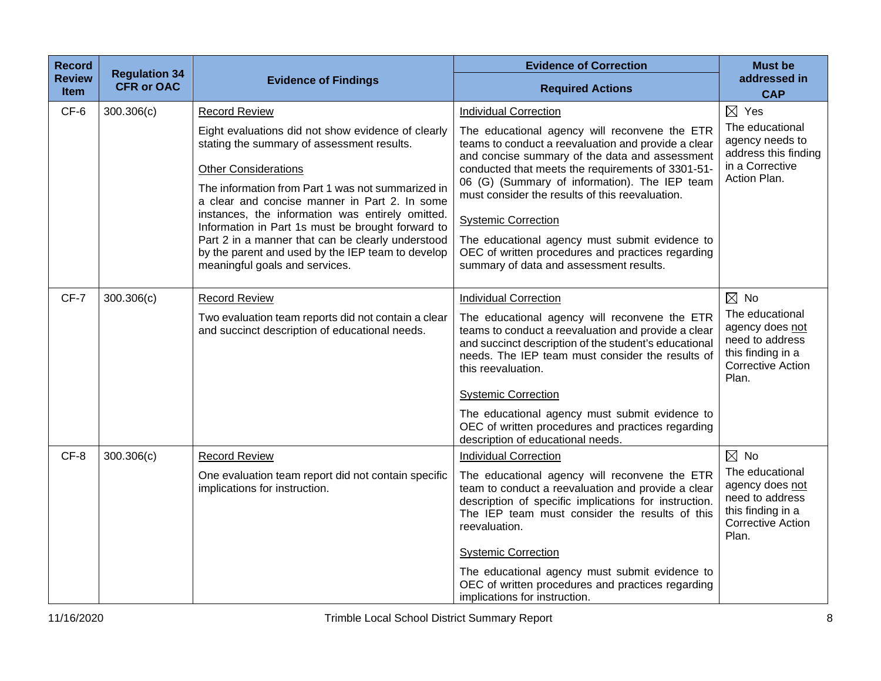| <b>Record</b>                | <b>Regulation 34</b> |                                                                                                                                                                                                                                                                                                                                                                                                                                                                                            | <b>Evidence of Correction</b>                                                                                                                                                                                                                                                                                                                                                                                                                                                                   | <b>Must be</b>                                                                                                                    |
|------------------------------|----------------------|--------------------------------------------------------------------------------------------------------------------------------------------------------------------------------------------------------------------------------------------------------------------------------------------------------------------------------------------------------------------------------------------------------------------------------------------------------------------------------------------|-------------------------------------------------------------------------------------------------------------------------------------------------------------------------------------------------------------------------------------------------------------------------------------------------------------------------------------------------------------------------------------------------------------------------------------------------------------------------------------------------|-----------------------------------------------------------------------------------------------------------------------------------|
| <b>Review</b><br><b>Item</b> | <b>CFR or OAC</b>    | <b>Evidence of Findings</b>                                                                                                                                                                                                                                                                                                                                                                                                                                                                | <b>Required Actions</b>                                                                                                                                                                                                                                                                                                                                                                                                                                                                         | addressed in<br><b>CAP</b>                                                                                                        |
| CF-6                         | 300.306(c)           | <b>Record Review</b>                                                                                                                                                                                                                                                                                                                                                                                                                                                                       | <b>Individual Correction</b>                                                                                                                                                                                                                                                                                                                                                                                                                                                                    | $\boxtimes$ Yes                                                                                                                   |
|                              |                      | Eight evaluations did not show evidence of clearly<br>stating the summary of assessment results.<br><b>Other Considerations</b><br>The information from Part 1 was not summarized in<br>a clear and concise manner in Part 2. In some<br>instances, the information was entirely omitted.<br>Information in Part 1s must be brought forward to<br>Part 2 in a manner that can be clearly understood<br>by the parent and used by the IEP team to develop<br>meaningful goals and services. | The educational agency will reconvene the ETR<br>teams to conduct a reevaluation and provide a clear<br>and concise summary of the data and assessment<br>conducted that meets the requirements of 3301-51-<br>06 (G) (Summary of information). The IEP team<br>must consider the results of this reevaluation.<br><b>Systemic Correction</b><br>The educational agency must submit evidence to<br>OEC of written procedures and practices regarding<br>summary of data and assessment results. | The educational<br>agency needs to<br>address this finding<br>in a Corrective<br>Action Plan.                                     |
| $CF-7$                       | 300.306(c)           | <b>Record Review</b><br>Two evaluation team reports did not contain a clear<br>and succinct description of educational needs.                                                                                                                                                                                                                                                                                                                                                              | <b>Individual Correction</b><br>The educational agency will reconvene the ETR<br>teams to conduct a reevaluation and provide a clear<br>and succinct description of the student's educational<br>needs. The IEP team must consider the results of<br>this reevaluation.<br><b>Systemic Correction</b><br>The educational agency must submit evidence to<br>OEC of written procedures and practices regarding<br>description of educational needs.                                               | $\boxtimes$ No<br>The educational<br>agency does not<br>need to address<br>this finding in a<br><b>Corrective Action</b><br>Plan. |
| CF-8                         | 300.306(c)           | <b>Record Review</b><br>One evaluation team report did not contain specific<br>implications for instruction.                                                                                                                                                                                                                                                                                                                                                                               | <b>Individual Correction</b><br>The educational agency will reconvene the ETR<br>team to conduct a reevaluation and provide a clear<br>description of specific implications for instruction.<br>The IEP team must consider the results of this<br>reevaluation.<br><b>Systemic Correction</b><br>The educational agency must submit evidence to<br>OEC of written procedures and practices regarding<br>implications for instruction.                                                           | $\boxtimes$ No<br>The educational<br>agency does not<br>need to address<br>this finding in a<br><b>Corrective Action</b><br>Plan. |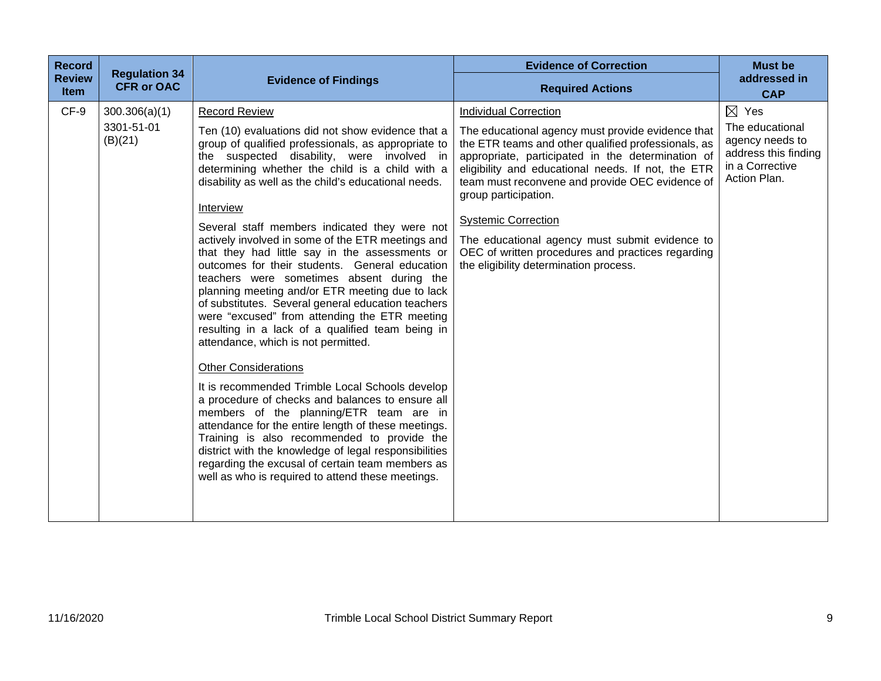| <b>Record</b><br><b>Review</b><br><b>Item</b> | <b>Regulation 34</b><br><b>CFR or OAC</b> | <b>Evidence of Findings</b>                                                                                                                                                                                                                                                                                                                                                                                                                                                                                                                                                                                                                                                                                                                                                                                                                                                                                                                                                                                                                                                                                                                                                                                                                                                 | <b>Evidence of Correction</b><br><b>Required Actions</b>                                                                                                                                                                                                                                                                                                                                                                                                                                                      | <b>Must be</b><br>addressed in<br><b>CAP</b>                                                                     |
|-----------------------------------------------|-------------------------------------------|-----------------------------------------------------------------------------------------------------------------------------------------------------------------------------------------------------------------------------------------------------------------------------------------------------------------------------------------------------------------------------------------------------------------------------------------------------------------------------------------------------------------------------------------------------------------------------------------------------------------------------------------------------------------------------------------------------------------------------------------------------------------------------------------------------------------------------------------------------------------------------------------------------------------------------------------------------------------------------------------------------------------------------------------------------------------------------------------------------------------------------------------------------------------------------------------------------------------------------------------------------------------------------|---------------------------------------------------------------------------------------------------------------------------------------------------------------------------------------------------------------------------------------------------------------------------------------------------------------------------------------------------------------------------------------------------------------------------------------------------------------------------------------------------------------|------------------------------------------------------------------------------------------------------------------|
| CF-9                                          | 300.306(a)(1)<br>3301-51-01<br>(B)(21)    | <b>Record Review</b><br>Ten (10) evaluations did not show evidence that a<br>group of qualified professionals, as appropriate to<br>the suspected disability, were involved in<br>determining whether the child is a child with a<br>disability as well as the child's educational needs.<br>Interview<br>Several staff members indicated they were not<br>actively involved in some of the ETR meetings and<br>that they had little say in the assessments or<br>outcomes for their students. General education<br>teachers were sometimes absent during the<br>planning meeting and/or ETR meeting due to lack<br>of substitutes. Several general education teachers<br>were "excused" from attending the ETR meeting<br>resulting in a lack of a qualified team being in<br>attendance, which is not permitted.<br><b>Other Considerations</b><br>It is recommended Trimble Local Schools develop<br>a procedure of checks and balances to ensure all<br>members of the planning/ETR team are in<br>attendance for the entire length of these meetings.<br>Training is also recommended to provide the<br>district with the knowledge of legal responsibilities<br>regarding the excusal of certain team members as<br>well as who is required to attend these meetings. | <b>Individual Correction</b><br>The educational agency must provide evidence that<br>the ETR teams and other qualified professionals, as<br>appropriate, participated in the determination of<br>eligibility and educational needs. If not, the ETR<br>team must reconvene and provide OEC evidence of<br>group participation.<br><b>Systemic Correction</b><br>The educational agency must submit evidence to<br>OEC of written procedures and practices regarding<br>the eligibility determination process. | $\boxtimes$ Yes<br>The educational<br>agency needs to<br>address this finding<br>in a Corrective<br>Action Plan. |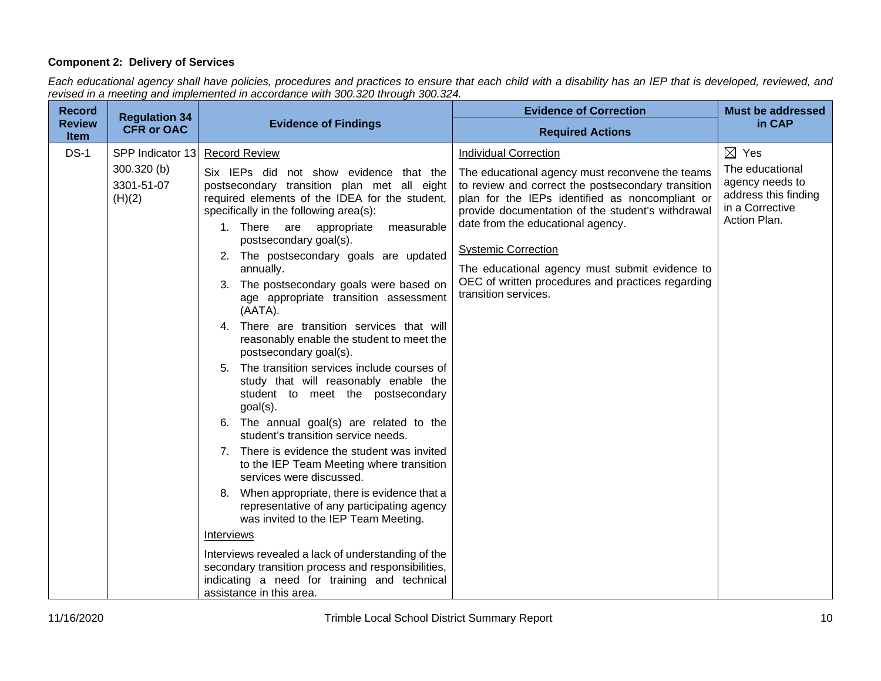# **Component 2: Delivery of Services**

*Each educational agency shall have policies, procedures and practices to ensure that each child with a disability has an IEP that is developed, reviewed, and revised in a meeting and implemented in accordance with 300.320 through 300.324.*

| <b>Record</b>                | <b>Regulation 34</b>                                      |                                                                                                                                                                                                                                                                                                                                                                                                                                                                                                                                                                                                                                                                                                                                                                                                                                                                                                                                                                                                                                                                                                                                                                                                                                                                  | <b>Evidence of Correction</b>                                                                                                                                                                                                                                                                                                                                                                                                                   | <b>Must be addressed</b>                                                                                         |
|------------------------------|-----------------------------------------------------------|------------------------------------------------------------------------------------------------------------------------------------------------------------------------------------------------------------------------------------------------------------------------------------------------------------------------------------------------------------------------------------------------------------------------------------------------------------------------------------------------------------------------------------------------------------------------------------------------------------------------------------------------------------------------------------------------------------------------------------------------------------------------------------------------------------------------------------------------------------------------------------------------------------------------------------------------------------------------------------------------------------------------------------------------------------------------------------------------------------------------------------------------------------------------------------------------------------------------------------------------------------------|-------------------------------------------------------------------------------------------------------------------------------------------------------------------------------------------------------------------------------------------------------------------------------------------------------------------------------------------------------------------------------------------------------------------------------------------------|------------------------------------------------------------------------------------------------------------------|
| <b>Review</b><br><b>Item</b> | <b>CFR or OAC</b>                                         | <b>Evidence of Findings</b>                                                                                                                                                                                                                                                                                                                                                                                                                                                                                                                                                                                                                                                                                                                                                                                                                                                                                                                                                                                                                                                                                                                                                                                                                                      | <b>Required Actions</b>                                                                                                                                                                                                                                                                                                                                                                                                                         | in CAP                                                                                                           |
| $DS-1$                       | SPP Indicator 13<br>$300.320$ (b)<br>3301-51-07<br>(H)(2) | <b>Record Review</b><br>Six IEPs did not show evidence that the<br>postsecondary transition plan met all eight<br>required elements of the IDEA for the student,<br>specifically in the following area(s):<br>1. There are appropriate<br>measurable<br>postsecondary goal(s).<br>2. The postsecondary goals are updated<br>annually.<br>3. The postsecondary goals were based on<br>age appropriate transition assessment<br>(AATA).<br>4. There are transition services that will<br>reasonably enable the student to meet the<br>postsecondary goal(s).<br>5. The transition services include courses of<br>study that will reasonably enable the<br>student to meet the postsecondary<br>$goal(s)$ .<br>6. The annual goal(s) are related to the<br>student's transition service needs.<br>7. There is evidence the student was invited<br>to the IEP Team Meeting where transition<br>services were discussed.<br>8. When appropriate, there is evidence that a<br>representative of any participating agency<br>was invited to the IEP Team Meeting.<br>Interviews<br>Interviews revealed a lack of understanding of the<br>secondary transition process and responsibilities,<br>indicating a need for training and technical<br>assistance in this area. | <b>Individual Correction</b><br>The educational agency must reconvene the teams<br>to review and correct the postsecondary transition<br>plan for the IEPs identified as noncompliant or<br>provide documentation of the student's withdrawal<br>date from the educational agency.<br><b>Systemic Correction</b><br>The educational agency must submit evidence to<br>OEC of written procedures and practices regarding<br>transition services. | $\boxtimes$ Yes<br>The educational<br>agency needs to<br>address this finding<br>in a Corrective<br>Action Plan. |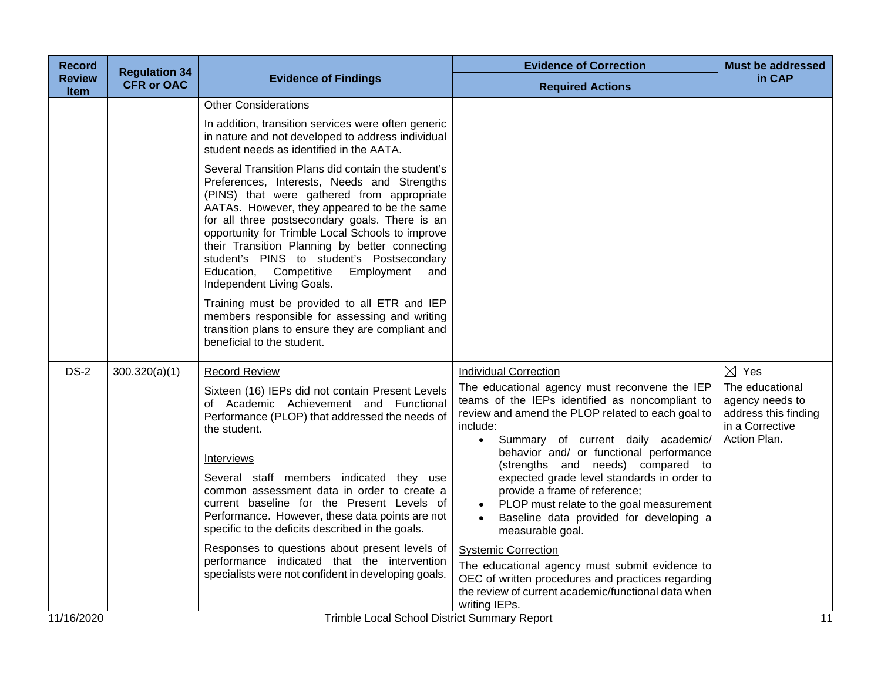| <b>Record</b>         | <b>Regulation 34</b> |                                                                                                                                                                                                                                                                                                                                                                                                                                                                                                                                                                                                                                                                                                                                                                                                                                                             | <b>Evidence of Correction</b>                                                                                                                                                                                                                                                                                                                                                                                                                                                                                                                                                                                                                                                                                                               | <b>Must be addressed</b>                                                                                         |
|-----------------------|----------------------|-------------------------------------------------------------------------------------------------------------------------------------------------------------------------------------------------------------------------------------------------------------------------------------------------------------------------------------------------------------------------------------------------------------------------------------------------------------------------------------------------------------------------------------------------------------------------------------------------------------------------------------------------------------------------------------------------------------------------------------------------------------------------------------------------------------------------------------------------------------|---------------------------------------------------------------------------------------------------------------------------------------------------------------------------------------------------------------------------------------------------------------------------------------------------------------------------------------------------------------------------------------------------------------------------------------------------------------------------------------------------------------------------------------------------------------------------------------------------------------------------------------------------------------------------------------------------------------------------------------------|------------------------------------------------------------------------------------------------------------------|
| <b>Review</b><br>Item | <b>CFR or OAC</b>    | <b>Evidence of Findings</b>                                                                                                                                                                                                                                                                                                                                                                                                                                                                                                                                                                                                                                                                                                                                                                                                                                 | <b>Required Actions</b>                                                                                                                                                                                                                                                                                                                                                                                                                                                                                                                                                                                                                                                                                                                     | in CAP                                                                                                           |
|                       |                      | <b>Other Considerations</b><br>In addition, transition services were often generic<br>in nature and not developed to address individual<br>student needs as identified in the AATA.<br>Several Transition Plans did contain the student's<br>Preferences, Interests, Needs and Strengths<br>(PINS) that were gathered from appropriate<br>AATAs. However, they appeared to be the same<br>for all three postsecondary goals. There is an<br>opportunity for Trimble Local Schools to improve<br>their Transition Planning by better connecting<br>student's PINS to student's Postsecondary<br>Education, Competitive<br>Employment<br>and<br>Independent Living Goals.<br>Training must be provided to all ETR and IEP<br>members responsible for assessing and writing<br>transition plans to ensure they are compliant and<br>beneficial to the student. |                                                                                                                                                                                                                                                                                                                                                                                                                                                                                                                                                                                                                                                                                                                                             |                                                                                                                  |
| <b>DS-2</b>           | 300.320(a)(1)        | <b>Record Review</b><br>Sixteen (16) IEPs did not contain Present Levels<br>of Academic Achievement and Functional<br>Performance (PLOP) that addressed the needs of<br>the student.<br><b>Interviews</b><br>Several staff members indicated they use<br>common assessment data in order to create a<br>current baseline for the Present Levels of<br>Performance. However, these data points are not<br>specific to the deficits described in the goals.<br>Responses to questions about present levels of<br>performance indicated that the intervention<br>specialists were not confident in developing goals.                                                                                                                                                                                                                                           | <b>Individual Correction</b><br>The educational agency must reconvene the IEP<br>teams of the IEPs identified as noncompliant to<br>review and amend the PLOP related to each goal to<br>include:<br>Summary of current daily academic/<br>$\bullet$<br>behavior and/ or functional performance<br>(strengths and needs) compared to<br>expected grade level standards in order to<br>provide a frame of reference;<br>PLOP must relate to the goal measurement<br>Baseline data provided for developing a<br>measurable goal.<br><b>Systemic Correction</b><br>The educational agency must submit evidence to<br>OEC of written procedures and practices regarding<br>the review of current academic/functional data when<br>writing IEPs. | $\boxtimes$ Yes<br>The educational<br>agency needs to<br>address this finding<br>in a Corrective<br>Action Plan. |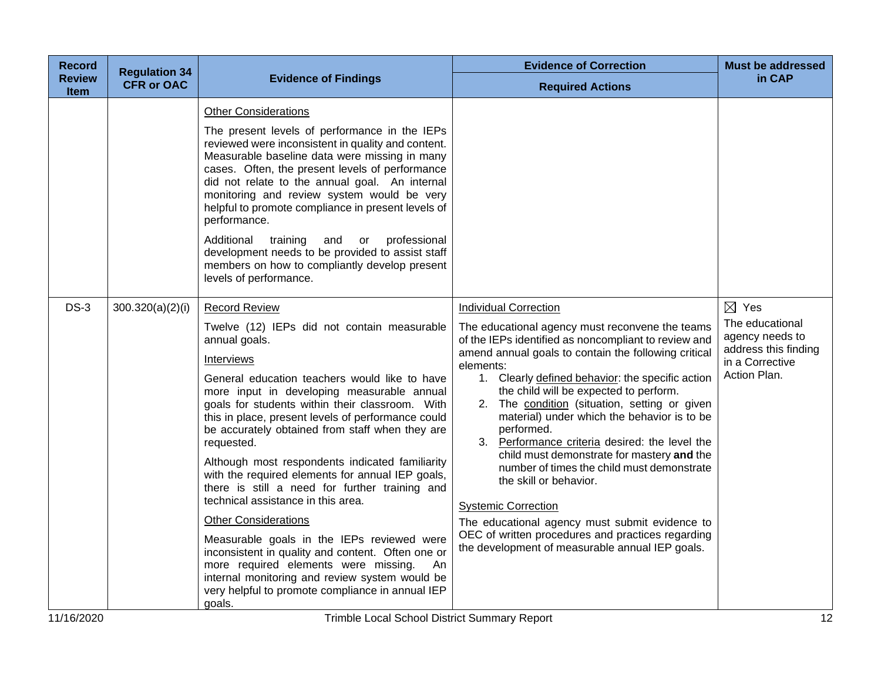| <b>Record</b>                | <b>Regulation 34</b> |                                                                                                                                                                                                                                                                                                                                                                                                                                                                                                                                                                                                                                                                                                                                                                                                                                                                            | <b>Evidence of Correction</b>                                                                                                                                                                                                                                                                                                                                                                                                                                                                                                                                                                                                                                                                                                                                                            | <b>Must be addressed</b>                                                                                         |
|------------------------------|----------------------|----------------------------------------------------------------------------------------------------------------------------------------------------------------------------------------------------------------------------------------------------------------------------------------------------------------------------------------------------------------------------------------------------------------------------------------------------------------------------------------------------------------------------------------------------------------------------------------------------------------------------------------------------------------------------------------------------------------------------------------------------------------------------------------------------------------------------------------------------------------------------|------------------------------------------------------------------------------------------------------------------------------------------------------------------------------------------------------------------------------------------------------------------------------------------------------------------------------------------------------------------------------------------------------------------------------------------------------------------------------------------------------------------------------------------------------------------------------------------------------------------------------------------------------------------------------------------------------------------------------------------------------------------------------------------|------------------------------------------------------------------------------------------------------------------|
| <b>Review</b><br><b>Item</b> | <b>CFR or OAC</b>    | <b>Evidence of Findings</b>                                                                                                                                                                                                                                                                                                                                                                                                                                                                                                                                                                                                                                                                                                                                                                                                                                                | <b>Required Actions</b>                                                                                                                                                                                                                                                                                                                                                                                                                                                                                                                                                                                                                                                                                                                                                                  | in CAP                                                                                                           |
|                              |                      | <b>Other Considerations</b><br>The present levels of performance in the IEPs<br>reviewed were inconsistent in quality and content.<br>Measurable baseline data were missing in many<br>cases. Often, the present levels of performance<br>did not relate to the annual goal. An internal<br>monitoring and review system would be very<br>helpful to promote compliance in present levels of<br>performance.<br>Additional<br>training<br>professional<br>and<br>or<br>development needs to be provided to assist staff<br>members on how to compliantly develop present<br>levels of performance.                                                                                                                                                                                                                                                                         |                                                                                                                                                                                                                                                                                                                                                                                                                                                                                                                                                                                                                                                                                                                                                                                          |                                                                                                                  |
| $DS-3$                       | 300.320(a)(2)(i)     | <b>Record Review</b><br>Twelve (12) IEPs did not contain measurable<br>annual goals.<br>Interviews<br>General education teachers would like to have<br>more input in developing measurable annual<br>goals for students within their classroom. With<br>this in place, present levels of performance could<br>be accurately obtained from staff when they are<br>requested.<br>Although most respondents indicated familiarity<br>with the required elements for annual IEP goals,<br>there is still a need for further training and<br>technical assistance in this area.<br><b>Other Considerations</b><br>Measurable goals in the IEPs reviewed were<br>inconsistent in quality and content. Often one or<br>more required elements were missing.<br>An<br>internal monitoring and review system would be<br>very helpful to promote compliance in annual IEP<br>goals. | <b>Individual Correction</b><br>The educational agency must reconvene the teams<br>of the IEPs identified as noncompliant to review and<br>amend annual goals to contain the following critical<br>elements:<br>1. Clearly defined behavior: the specific action<br>the child will be expected to perform.<br>2. The condition (situation, setting or given<br>material) under which the behavior is to be<br>performed.<br>3. Performance criteria desired: the level the<br>child must demonstrate for mastery and the<br>number of times the child must demonstrate<br>the skill or behavior.<br><b>Systemic Correction</b><br>The educational agency must submit evidence to<br>OEC of written procedures and practices regarding<br>the development of measurable annual IEP goals. | $\boxtimes$ Yes<br>The educational<br>agency needs to<br>address this finding<br>in a Corrective<br>Action Plan. |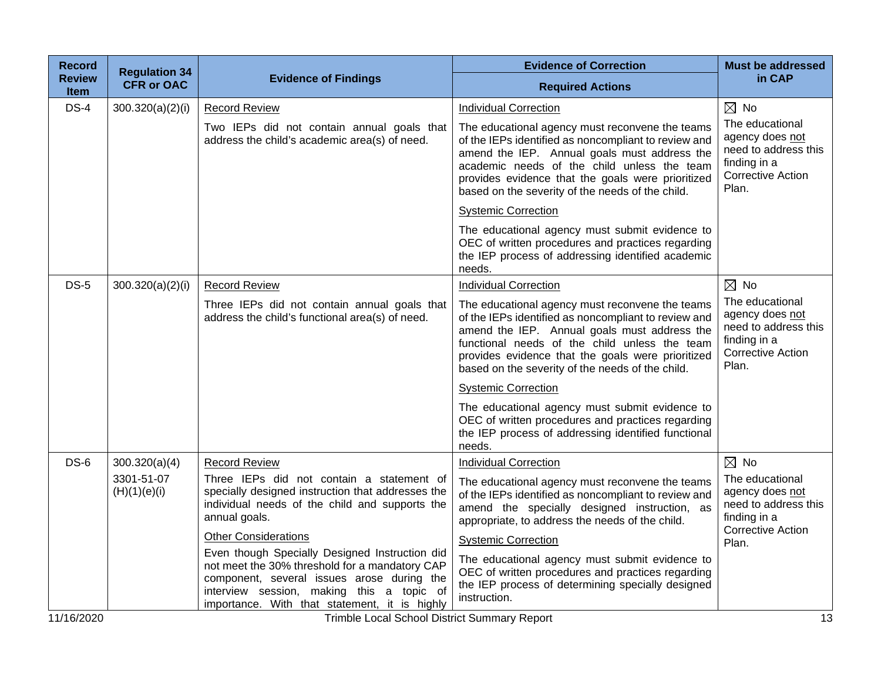| <b>CFR or OAC</b><br>300.320(a)(2)(i) | <b>Evidence of Findings</b>                                                                                                                                                                | <b>Required Actions</b>                                                                                                                                                                                                                                                                                           | in CAP                                                                                                          |
|---------------------------------------|--------------------------------------------------------------------------------------------------------------------------------------------------------------------------------------------|-------------------------------------------------------------------------------------------------------------------------------------------------------------------------------------------------------------------------------------------------------------------------------------------------------------------|-----------------------------------------------------------------------------------------------------------------|
|                                       |                                                                                                                                                                                            |                                                                                                                                                                                                                                                                                                                   |                                                                                                                 |
|                                       | <b>Record Review</b>                                                                                                                                                                       | <b>Individual Correction</b>                                                                                                                                                                                                                                                                                      | $\boxtimes$ No                                                                                                  |
|                                       | Two IEPs did not contain annual goals that<br>address the child's academic area(s) of need.                                                                                                | The educational agency must reconvene the teams<br>of the IEPs identified as noncompliant to review and<br>amend the IEP. Annual goals must address the<br>academic needs of the child unless the team<br>provides evidence that the goals were prioritized<br>based on the severity of the needs of the child.   | The educational<br>agency does not<br>need to address this<br>finding in a<br><b>Corrective Action</b><br>Plan. |
|                                       |                                                                                                                                                                                            | <b>Systemic Correction</b>                                                                                                                                                                                                                                                                                        |                                                                                                                 |
|                                       |                                                                                                                                                                                            | The educational agency must submit evidence to<br>OEC of written procedures and practices regarding<br>the IEP process of addressing identified academic<br>needs.                                                                                                                                                |                                                                                                                 |
| 300.320(a)(2)(i)                      | <b>Record Review</b>                                                                                                                                                                       | <b>Individual Correction</b>                                                                                                                                                                                                                                                                                      | $\boxtimes$ No                                                                                                  |
|                                       | Three IEPs did not contain annual goals that<br>address the child's functional area(s) of need.                                                                                            | The educational agency must reconvene the teams<br>of the IEPs identified as noncompliant to review and<br>amend the IEP. Annual goals must address the<br>functional needs of the child unless the team<br>provides evidence that the goals were prioritized<br>based on the severity of the needs of the child. | The educational<br>agency does not<br>need to address this<br>finding in a<br><b>Corrective Action</b><br>Plan. |
|                                       |                                                                                                                                                                                            | <b>Systemic Correction</b>                                                                                                                                                                                                                                                                                        |                                                                                                                 |
|                                       |                                                                                                                                                                                            | The educational agency must submit evidence to<br>OEC of written procedures and practices regarding<br>the IEP process of addressing identified functional<br>needs.                                                                                                                                              |                                                                                                                 |
| 300.320(a)(4)                         | <b>Record Review</b>                                                                                                                                                                       | <b>Individual Correction</b>                                                                                                                                                                                                                                                                                      | $\boxtimes$ No                                                                                                  |
| 3301-51-07<br>(H)(1)(e)(i)            | Three IEPs did not contain a statement of<br>specially designed instruction that addresses the<br>individual needs of the child and supports the<br>annual goals.                          | The educational agency must reconvene the teams<br>of the IEPs identified as noncompliant to review and<br>amend the specially designed instruction, as<br>appropriate, to address the needs of the child.                                                                                                        | The educational<br>agency does not<br>need to address this<br>finding in a<br>Corrective Action                 |
|                                       | <b>Other Considerations</b>                                                                                                                                                                | <b>Systemic Correction</b>                                                                                                                                                                                                                                                                                        | Plan.                                                                                                           |
|                                       | not meet the 30% threshold for a mandatory CAP<br>component, several issues arose during the<br>interview session, making this a topic of<br>importance. With that statement, it is highly | The educational agency must submit evidence to<br>OEC of written procedures and practices regarding<br>the IEP process of determining specially designed<br>instruction.                                                                                                                                          |                                                                                                                 |
|                                       |                                                                                                                                                                                            | Even though Specially Designed Instruction did                                                                                                                                                                                                                                                                    | Taiwakha Lagal Oskard District Organizació Demont                                                               |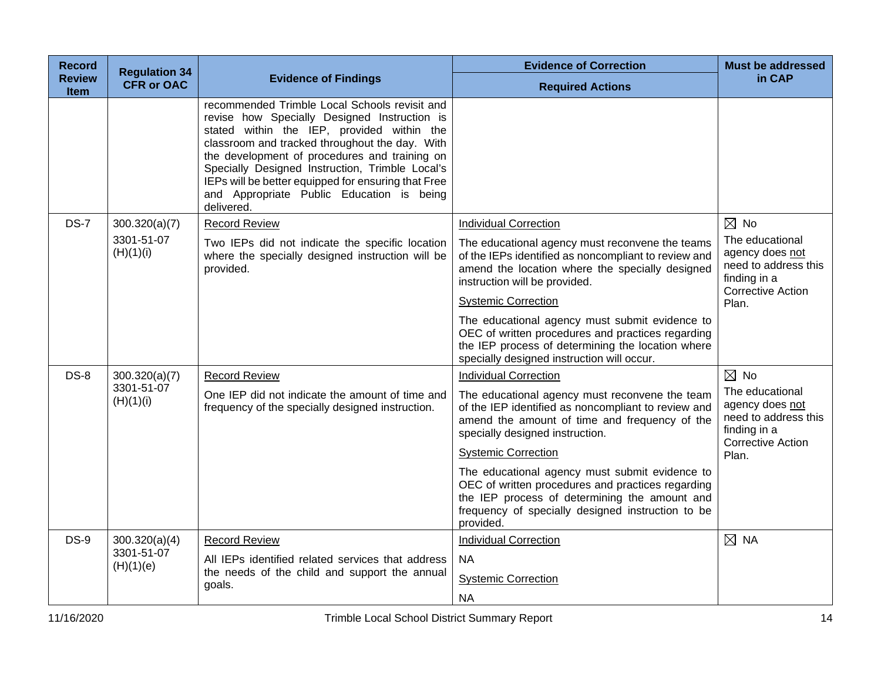| <b>Record</b>                | <b>Regulation 34</b>    |                                                                                                                                                                                                                                                                                                                                                                                                                     | <b>Evidence of Correction</b>                                                                                                                                                                                          | <b>Must be addressed</b>                                                                               |
|------------------------------|-------------------------|---------------------------------------------------------------------------------------------------------------------------------------------------------------------------------------------------------------------------------------------------------------------------------------------------------------------------------------------------------------------------------------------------------------------|------------------------------------------------------------------------------------------------------------------------------------------------------------------------------------------------------------------------|--------------------------------------------------------------------------------------------------------|
| <b>Review</b><br><b>Item</b> | <b>CFR or OAC</b>       | <b>Evidence of Findings</b>                                                                                                                                                                                                                                                                                                                                                                                         | <b>Required Actions</b>                                                                                                                                                                                                | in CAP                                                                                                 |
|                              |                         | recommended Trimble Local Schools revisit and<br>revise how Specially Designed Instruction is<br>stated within the IEP, provided within the<br>classroom and tracked throughout the day. With<br>the development of procedures and training on<br>Specially Designed Instruction, Trimble Local's<br>IEPs will be better equipped for ensuring that Free<br>and Appropriate Public Education is being<br>delivered. |                                                                                                                                                                                                                        |                                                                                                        |
| $DS-7$                       | 300.320(a)(7)           | <b>Record Review</b>                                                                                                                                                                                                                                                                                                                                                                                                | <b>Individual Correction</b>                                                                                                                                                                                           | $\boxtimes$ No                                                                                         |
|                              | 3301-51-07<br>(H)(1)(i) | Two IEPs did not indicate the specific location<br>where the specially designed instruction will be<br>provided.                                                                                                                                                                                                                                                                                                    | The educational agency must reconvene the teams<br>of the IEPs identified as noncompliant to review and<br>amend the location where the specially designed<br>instruction will be provided.                            | The educational<br>agency does not<br>need to address this<br>finding in a<br><b>Corrective Action</b> |
|                              |                         |                                                                                                                                                                                                                                                                                                                                                                                                                     | <b>Systemic Correction</b>                                                                                                                                                                                             | Plan.                                                                                                  |
|                              |                         |                                                                                                                                                                                                                                                                                                                                                                                                                     | The educational agency must submit evidence to<br>OEC of written procedures and practices regarding<br>the IEP process of determining the location where<br>specially designed instruction will occur.                 |                                                                                                        |
| $DS-8$                       | 300.320(a)(7)           | <b>Record Review</b>                                                                                                                                                                                                                                                                                                                                                                                                | <b>Individual Correction</b>                                                                                                                                                                                           | $\boxtimes$ No                                                                                         |
|                              | 3301-51-07<br>(H)(1)(i) | One IEP did not indicate the amount of time and<br>frequency of the specially designed instruction.                                                                                                                                                                                                                                                                                                                 | The educational agency must reconvene the team<br>of the IEP identified as noncompliant to review and<br>amend the amount of time and frequency of the<br>specially designed instruction.                              | The educational<br>agency does not<br>need to address this<br>finding in a<br><b>Corrective Action</b> |
|                              |                         |                                                                                                                                                                                                                                                                                                                                                                                                                     | <b>Systemic Correction</b>                                                                                                                                                                                             | Plan.                                                                                                  |
|                              |                         |                                                                                                                                                                                                                                                                                                                                                                                                                     | The educational agency must submit evidence to<br>OEC of written procedures and practices regarding<br>the IEP process of determining the amount and<br>frequency of specially designed instruction to be<br>provided. |                                                                                                        |
| $DS-9$                       | 300.320(a)(4)           | <b>Record Review</b>                                                                                                                                                                                                                                                                                                                                                                                                | <b>Individual Correction</b>                                                                                                                                                                                           | $\boxtimes$ NA                                                                                         |
|                              | 3301-51-07<br>(H)(1)(e) | All IEPs identified related services that address                                                                                                                                                                                                                                                                                                                                                                   | <b>NA</b>                                                                                                                                                                                                              |                                                                                                        |
|                              |                         | the needs of the child and support the annual<br>goals.                                                                                                                                                                                                                                                                                                                                                             | <b>Systemic Correction</b>                                                                                                                                                                                             |                                                                                                        |
|                              |                         |                                                                                                                                                                                                                                                                                                                                                                                                                     | <b>NA</b>                                                                                                                                                                                                              |                                                                                                        |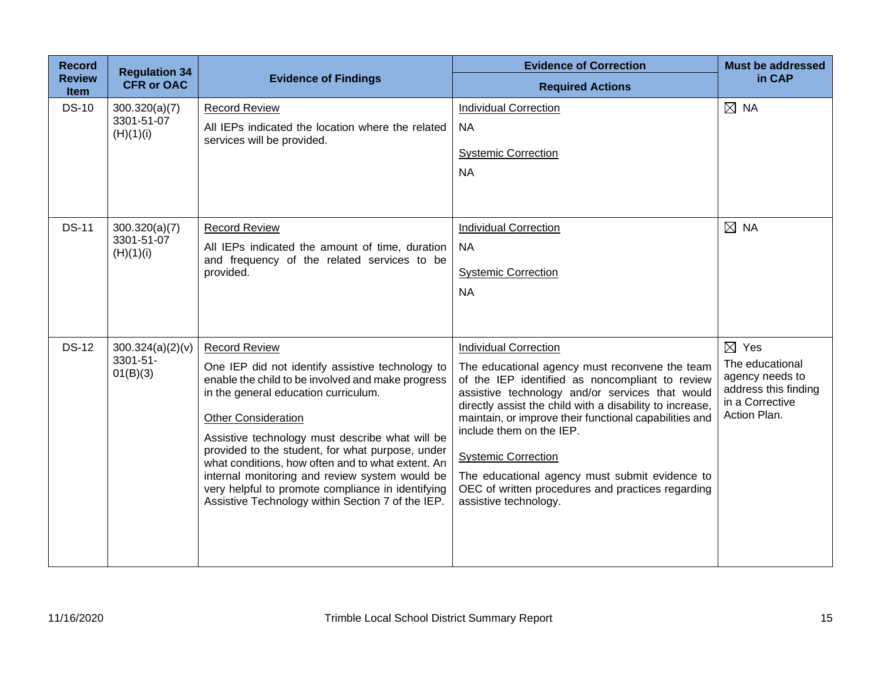| <b>Record</b><br><b>Review</b> | <b>Regulation 34</b><br><b>CFR or OAC</b> | <b>Evidence of Findings</b>                                                                                                                                                                                                                                                                                                                                                                                                                                                                                                 | <b>Evidence of Correction</b><br><b>Required Actions</b>                                                                                                                                                                                                                                                                                                                                                                                                                                             | <b>Must be addressed</b><br>in CAP                                                                               |
|--------------------------------|-------------------------------------------|-----------------------------------------------------------------------------------------------------------------------------------------------------------------------------------------------------------------------------------------------------------------------------------------------------------------------------------------------------------------------------------------------------------------------------------------------------------------------------------------------------------------------------|------------------------------------------------------------------------------------------------------------------------------------------------------------------------------------------------------------------------------------------------------------------------------------------------------------------------------------------------------------------------------------------------------------------------------------------------------------------------------------------------------|------------------------------------------------------------------------------------------------------------------|
| <b>Item</b><br><b>DS-10</b>    | 300.320(a)(7)<br>3301-51-07<br>(H)(1)(i)  | <b>Record Review</b><br>All IEPs indicated the location where the related<br>services will be provided.                                                                                                                                                                                                                                                                                                                                                                                                                     | <b>Individual Correction</b><br><b>NA</b><br><b>Systemic Correction</b><br><b>NA</b>                                                                                                                                                                                                                                                                                                                                                                                                                 | $\boxtimes$ NA                                                                                                   |
| <b>DS-11</b>                   | 300.320(a)(7)<br>3301-51-07<br>(H)(1)(i)  | <b>Record Review</b><br>All IEPs indicated the amount of time, duration<br>and frequency of the related services to be<br>provided.                                                                                                                                                                                                                                                                                                                                                                                         | <b>Individual Correction</b><br><b>NA</b><br><b>Systemic Correction</b><br><b>NA</b>                                                                                                                                                                                                                                                                                                                                                                                                                 | $\boxtimes$ NA                                                                                                   |
| <b>DS-12</b>                   | 300.324(a)(2)(v)<br>3301-51-<br>01(B)(3)  | <b>Record Review</b><br>One IEP did not identify assistive technology to<br>enable the child to be involved and make progress<br>in the general education curriculum.<br><b>Other Consideration</b><br>Assistive technology must describe what will be<br>provided to the student, for what purpose, under<br>what conditions, how often and to what extent. An<br>internal monitoring and review system would be<br>very helpful to promote compliance in identifying<br>Assistive Technology within Section 7 of the IEP. | <b>Individual Correction</b><br>The educational agency must reconvene the team<br>of the IEP identified as noncompliant to review<br>assistive technology and/or services that would<br>directly assist the child with a disability to increase,<br>maintain, or improve their functional capabilities and<br>include them on the IEP.<br><b>Systemic Correction</b><br>The educational agency must submit evidence to<br>OEC of written procedures and practices regarding<br>assistive technology. | $\boxtimes$ Yes<br>The educational<br>agency needs to<br>address this finding<br>in a Corrective<br>Action Plan. |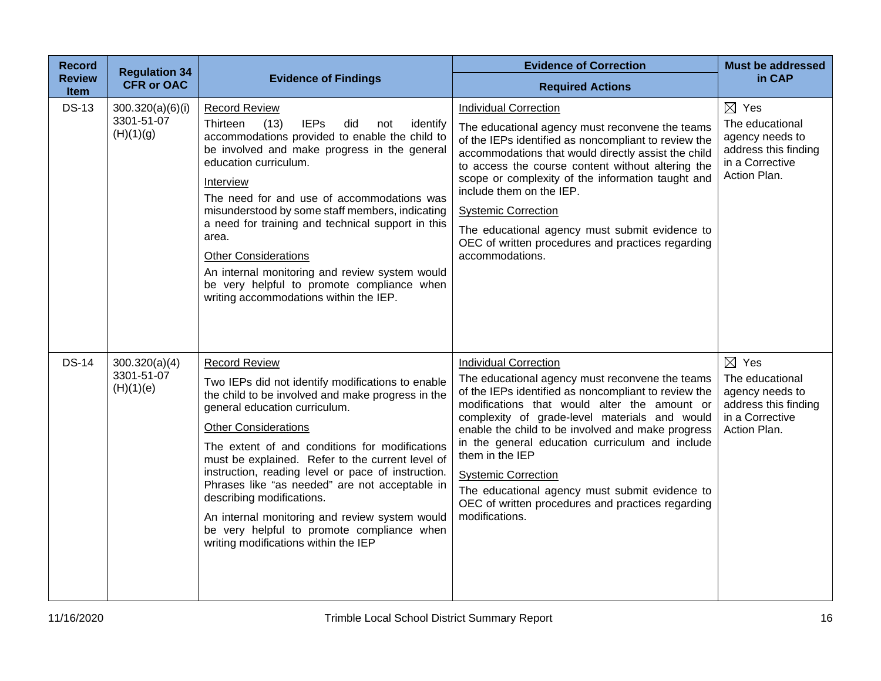| <b>Record</b>         | <b>Regulation 34</b>                        |                                                                                                                                                                                                                                                                                                                                                                                                                                                                                                                                                                                   | <b>Evidence of Correction</b>                                                                                                                                                                                                                                                                                                                                                                                                                                                                                              | <b>Must be addressed</b>                                                                                         |
|-----------------------|---------------------------------------------|-----------------------------------------------------------------------------------------------------------------------------------------------------------------------------------------------------------------------------------------------------------------------------------------------------------------------------------------------------------------------------------------------------------------------------------------------------------------------------------------------------------------------------------------------------------------------------------|----------------------------------------------------------------------------------------------------------------------------------------------------------------------------------------------------------------------------------------------------------------------------------------------------------------------------------------------------------------------------------------------------------------------------------------------------------------------------------------------------------------------------|------------------------------------------------------------------------------------------------------------------|
| <b>Review</b><br>Item | <b>CFR or OAC</b>                           | <b>Evidence of Findings</b>                                                                                                                                                                                                                                                                                                                                                                                                                                                                                                                                                       | <b>Required Actions</b>                                                                                                                                                                                                                                                                                                                                                                                                                                                                                                    | in CAP                                                                                                           |
| <b>DS-13</b>          | 300.320(a)(6)(i)<br>3301-51-07<br>(H)(1)(g) | <b>Record Review</b><br>Thirteen<br>(13)<br><b>IEPs</b><br>identify<br>did<br>not<br>accommodations provided to enable the child to<br>be involved and make progress in the general<br>education curriculum.<br>Interview<br>The need for and use of accommodations was<br>misunderstood by some staff members, indicating<br>a need for training and technical support in this<br>area.<br><b>Other Considerations</b><br>An internal monitoring and review system would<br>be very helpful to promote compliance when<br>writing accommodations within the IEP.                 | <b>Individual Correction</b><br>The educational agency must reconvene the teams<br>of the IEPs identified as noncompliant to review the<br>accommodations that would directly assist the child<br>to access the course content without altering the<br>scope or complexity of the information taught and<br>include them on the IEP.<br><b>Systemic Correction</b><br>The educational agency must submit evidence to<br>OEC of written procedures and practices regarding<br>accommodations.                               | $\boxtimes$ Yes<br>The educational<br>agency needs to<br>address this finding<br>in a Corrective<br>Action Plan. |
| <b>DS-14</b>          | 300.320(a)(4)<br>3301-51-07<br>(H)(1)(e)    | <b>Record Review</b><br>Two IEPs did not identify modifications to enable<br>the child to be involved and make progress in the<br>general education curriculum.<br><b>Other Considerations</b><br>The extent of and conditions for modifications<br>must be explained. Refer to the current level of<br>instruction, reading level or pace of instruction.<br>Phrases like "as needed" are not acceptable in<br>describing modifications.<br>An internal monitoring and review system would<br>be very helpful to promote compliance when<br>writing modifications within the IEP | <b>Individual Correction</b><br>The educational agency must reconvene the teams<br>of the IEPs identified as noncompliant to review the<br>modifications that would alter the amount or<br>complexity of grade-level materials and would<br>enable the child to be involved and make progress<br>in the general education curriculum and include<br>them in the IEP<br><b>Systemic Correction</b><br>The educational agency must submit evidence to<br>OEC of written procedures and practices regarding<br>modifications. | $\boxtimes$ Yes<br>The educational<br>agency needs to<br>address this finding<br>in a Corrective<br>Action Plan. |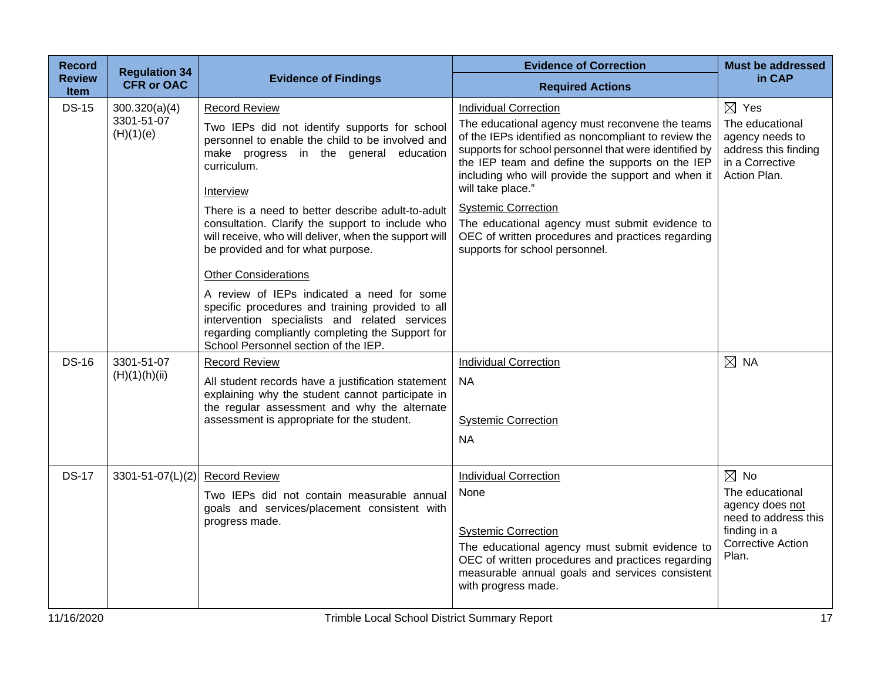| <b>Record</b><br><b>Review</b> | <b>Regulation 34</b>    | <b>Evidence of Findings</b>                                                                                                                                                                                                                 | <b>Evidence of Correction</b>                                                                                                                                                                                                                                                                  | <b>Must be addressed</b><br>in CAP                                                                              |
|--------------------------------|-------------------------|---------------------------------------------------------------------------------------------------------------------------------------------------------------------------------------------------------------------------------------------|------------------------------------------------------------------------------------------------------------------------------------------------------------------------------------------------------------------------------------------------------------------------------------------------|-----------------------------------------------------------------------------------------------------------------|
| <b>Item</b>                    | <b>CFR or OAC</b>       |                                                                                                                                                                                                                                             | <b>Required Actions</b>                                                                                                                                                                                                                                                                        |                                                                                                                 |
| <b>DS-15</b>                   | 300.320(a)(4)           | <b>Record Review</b>                                                                                                                                                                                                                        | <b>Individual Correction</b>                                                                                                                                                                                                                                                                   | $\boxtimes$ Yes                                                                                                 |
|                                | 3301-51-07<br>(H)(1)(e) | Two IEPs did not identify supports for school<br>personnel to enable the child to be involved and<br>make progress in the general education<br>curriculum.                                                                                  | The educational agency must reconvene the teams<br>of the IEPs identified as noncompliant to review the<br>supports for school personnel that were identified by<br>the IEP team and define the supports on the IEP<br>including who will provide the support and when it<br>will take place." | The educational<br>agency needs to<br>address this finding<br>in a Corrective<br>Action Plan.                   |
|                                |                         | Interview                                                                                                                                                                                                                                   |                                                                                                                                                                                                                                                                                                |                                                                                                                 |
|                                |                         | There is a need to better describe adult-to-adult<br>consultation. Clarify the support to include who<br>will receive, who will deliver, when the support will<br>be provided and for what purpose.                                         | <b>Systemic Correction</b><br>The educational agency must submit evidence to<br>OEC of written procedures and practices regarding<br>supports for school personnel.                                                                                                                            |                                                                                                                 |
|                                |                         | <b>Other Considerations</b>                                                                                                                                                                                                                 |                                                                                                                                                                                                                                                                                                |                                                                                                                 |
|                                |                         | A review of IEPs indicated a need for some<br>specific procedures and training provided to all<br>intervention specialists and related services<br>regarding compliantly completing the Support for<br>School Personnel section of the IEP. |                                                                                                                                                                                                                                                                                                |                                                                                                                 |
| <b>DS-16</b>                   | 3301-51-07              | <b>Record Review</b>                                                                                                                                                                                                                        | <b>Individual Correction</b>                                                                                                                                                                                                                                                                   | $\boxtimes$ NA                                                                                                  |
|                                | (H)(1)(h)(ii)           | All student records have a justification statement<br>explaining why the student cannot participate in<br>the regular assessment and why the alternate                                                                                      | <b>NA</b>                                                                                                                                                                                                                                                                                      |                                                                                                                 |
|                                |                         | assessment is appropriate for the student.                                                                                                                                                                                                  | <b>Systemic Correction</b>                                                                                                                                                                                                                                                                     |                                                                                                                 |
|                                |                         |                                                                                                                                                                                                                                             | <b>NA</b>                                                                                                                                                                                                                                                                                      |                                                                                                                 |
| <b>DS-17</b>                   | $3301 - 51 - 07(L)(2)$  | <b>Record Review</b>                                                                                                                                                                                                                        | <b>Individual Correction</b>                                                                                                                                                                                                                                                                   | $\boxtimes$ No                                                                                                  |
|                                |                         | Two IEPs did not contain measurable annual<br>goals and services/placement consistent with<br>progress made.                                                                                                                                | None<br><b>Systemic Correction</b><br>The educational agency must submit evidence to<br>OEC of written procedures and practices regarding<br>measurable annual goals and services consistent<br>with progress made.                                                                            | The educational<br>agency does not<br>need to address this<br>finding in a<br><b>Corrective Action</b><br>Plan. |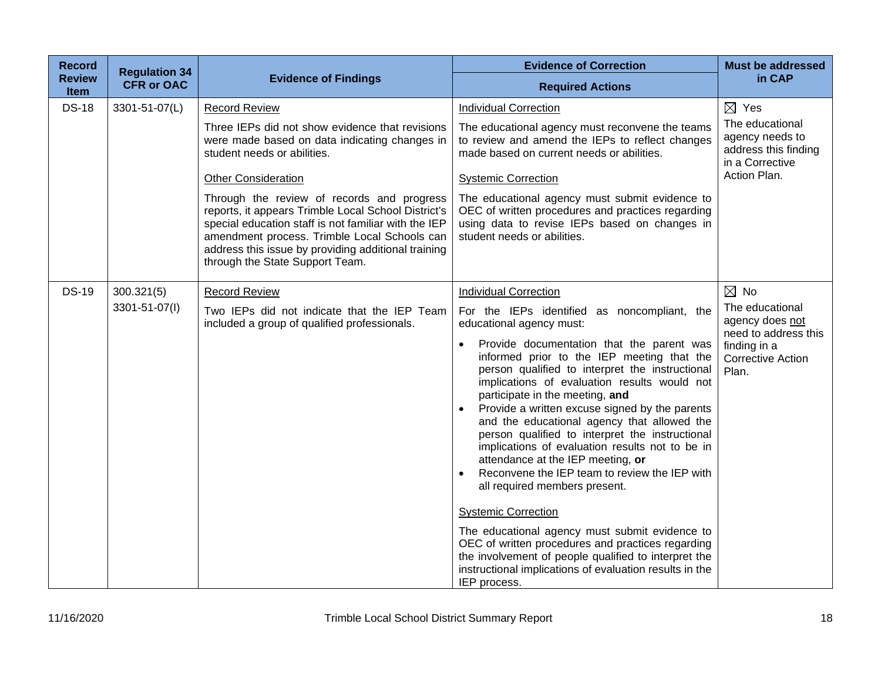| <b>Record</b>                | <b>Regulation 34</b> |                                                                                                                                                                                                                                                                                                     | <b>Evidence of Correction</b>                                                                                                                                                                                                                                                                                                                                                                                                                                                                                                                                                                                                                                                                                                                                                                                                                                                                                                | <b>Must be addressed</b>                                                                                        |
|------------------------------|----------------------|-----------------------------------------------------------------------------------------------------------------------------------------------------------------------------------------------------------------------------------------------------------------------------------------------------|------------------------------------------------------------------------------------------------------------------------------------------------------------------------------------------------------------------------------------------------------------------------------------------------------------------------------------------------------------------------------------------------------------------------------------------------------------------------------------------------------------------------------------------------------------------------------------------------------------------------------------------------------------------------------------------------------------------------------------------------------------------------------------------------------------------------------------------------------------------------------------------------------------------------------|-----------------------------------------------------------------------------------------------------------------|
| <b>Review</b><br><b>Item</b> | <b>CFR or OAC</b>    | <b>Evidence of Findings</b>                                                                                                                                                                                                                                                                         | <b>Required Actions</b>                                                                                                                                                                                                                                                                                                                                                                                                                                                                                                                                                                                                                                                                                                                                                                                                                                                                                                      | in CAP                                                                                                          |
| <b>DS-18</b>                 | 3301-51-07(L)        | <b>Record Review</b>                                                                                                                                                                                                                                                                                | <b>Individual Correction</b>                                                                                                                                                                                                                                                                                                                                                                                                                                                                                                                                                                                                                                                                                                                                                                                                                                                                                                 | $\boxtimes$ Yes                                                                                                 |
|                              |                      | Three IEPs did not show evidence that revisions<br>were made based on data indicating changes in<br>student needs or abilities.                                                                                                                                                                     | The educational agency must reconvene the teams<br>to review and amend the IEPs to reflect changes<br>made based on current needs or abilities.                                                                                                                                                                                                                                                                                                                                                                                                                                                                                                                                                                                                                                                                                                                                                                              | The educational<br>agency needs to<br>address this finding<br>in a Corrective                                   |
|                              |                      | <b>Other Consideration</b>                                                                                                                                                                                                                                                                          | <b>Systemic Correction</b>                                                                                                                                                                                                                                                                                                                                                                                                                                                                                                                                                                                                                                                                                                                                                                                                                                                                                                   | Action Plan.                                                                                                    |
|                              |                      | Through the review of records and progress<br>reports, it appears Trimble Local School District's<br>special education staff is not familiar with the IEP<br>amendment process. Trimble Local Schools can<br>address this issue by providing additional training<br>through the State Support Team. | The educational agency must submit evidence to<br>OEC of written procedures and practices regarding<br>using data to revise IEPs based on changes in<br>student needs or abilities.                                                                                                                                                                                                                                                                                                                                                                                                                                                                                                                                                                                                                                                                                                                                          |                                                                                                                 |
| <b>DS-19</b>                 | 300.321(5)           | <b>Record Review</b>                                                                                                                                                                                                                                                                                | <b>Individual Correction</b>                                                                                                                                                                                                                                                                                                                                                                                                                                                                                                                                                                                                                                                                                                                                                                                                                                                                                                 | $\boxtimes$ No                                                                                                  |
|                              | 3301-51-07(I)        | Two IEPs did not indicate that the IEP Team<br>included a group of qualified professionals.                                                                                                                                                                                                         | For the IEPs identified as noncompliant, the<br>educational agency must:<br>Provide documentation that the parent was<br>$\bullet$<br>informed prior to the IEP meeting that the<br>person qualified to interpret the instructional<br>implications of evaluation results would not<br>participate in the meeting, and<br>Provide a written excuse signed by the parents<br>and the educational agency that allowed the<br>person qualified to interpret the instructional<br>implications of evaluation results not to be in<br>attendance at the IEP meeting, or<br>Reconvene the IEP team to review the IEP with<br>all required members present.<br><b>Systemic Correction</b><br>The educational agency must submit evidence to<br>OEC of written procedures and practices regarding<br>the involvement of people qualified to interpret the<br>instructional implications of evaluation results in the<br>IEP process. | The educational<br>agency does not<br>need to address this<br>finding in a<br><b>Corrective Action</b><br>Plan. |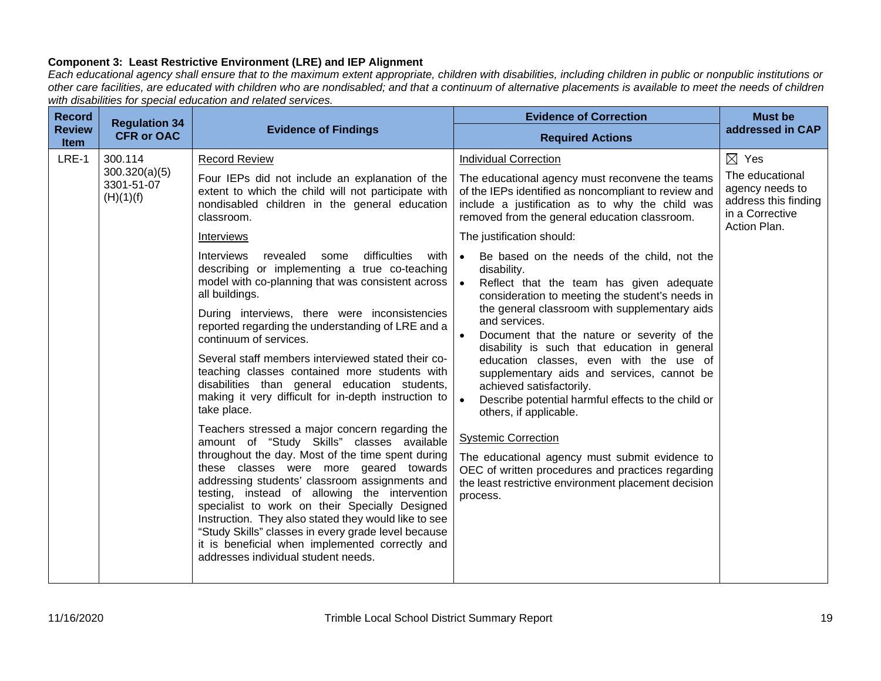# **Component 3: Least Restrictive Environment (LRE) and IEP Alignment**

*Each educational agency shall ensure that to the maximum extent appropriate, children with disabilities, including children in public or nonpublic institutions or other care facilities, are educated with children who are nondisabled; and that a continuum of alternative placements is available to meet the needs of children with disabilities for special education and related services.*

| <b>Record</b>                | <b>Regulation 34</b>                                |                                                                                                                                                                                                                                                                                                                                                                                                                                                                                                                                                                                                                                                                                                                                                                                                                                                                                                                                                                                                                                                                                                                                                                                                                                                                                                                                   | <b>Evidence of Correction</b>                                                                                                                                                                                                                                                                                                                                                                                                                                                                                                                                                                                                                                                                                                                                                                                                                                                                                                                                                                                                                  | <b>Must be</b>                                                                                                   |
|------------------------------|-----------------------------------------------------|-----------------------------------------------------------------------------------------------------------------------------------------------------------------------------------------------------------------------------------------------------------------------------------------------------------------------------------------------------------------------------------------------------------------------------------------------------------------------------------------------------------------------------------------------------------------------------------------------------------------------------------------------------------------------------------------------------------------------------------------------------------------------------------------------------------------------------------------------------------------------------------------------------------------------------------------------------------------------------------------------------------------------------------------------------------------------------------------------------------------------------------------------------------------------------------------------------------------------------------------------------------------------------------------------------------------------------------|------------------------------------------------------------------------------------------------------------------------------------------------------------------------------------------------------------------------------------------------------------------------------------------------------------------------------------------------------------------------------------------------------------------------------------------------------------------------------------------------------------------------------------------------------------------------------------------------------------------------------------------------------------------------------------------------------------------------------------------------------------------------------------------------------------------------------------------------------------------------------------------------------------------------------------------------------------------------------------------------------------------------------------------------|------------------------------------------------------------------------------------------------------------------|
| <b>Review</b><br><b>Item</b> | <b>CFR or OAC</b>                                   | <b>Evidence of Findings</b>                                                                                                                                                                                                                                                                                                                                                                                                                                                                                                                                                                                                                                                                                                                                                                                                                                                                                                                                                                                                                                                                                                                                                                                                                                                                                                       | <b>Required Actions</b>                                                                                                                                                                                                                                                                                                                                                                                                                                                                                                                                                                                                                                                                                                                                                                                                                                                                                                                                                                                                                        | addressed in CAP                                                                                                 |
| LRE-1                        | 300.114<br>300.320(a)(5)<br>3301-51-07<br>(H)(1)(f) | <b>Record Review</b><br>Four IEPs did not include an explanation of the<br>extent to which the child will not participate with<br>nondisabled children in the general education<br>classroom.<br>Interviews<br><b>Interviews</b><br>revealed<br>some<br>difficulties<br>with<br>describing or implementing a true co-teaching<br>model with co-planning that was consistent across<br>all buildings.<br>During interviews, there were inconsistencies<br>reported regarding the understanding of LRE and a<br>continuum of services.<br>Several staff members interviewed stated their co-<br>teaching classes contained more students with<br>disabilities than general education students,<br>making it very difficult for in-depth instruction to<br>take place.<br>Teachers stressed a major concern regarding the<br>amount of "Study Skills" classes available<br>throughout the day. Most of the time spent during<br>these classes were more geared towards<br>addressing students' classroom assignments and<br>testing, instead of allowing the intervention<br>specialist to work on their Specially Designed<br>Instruction. They also stated they would like to see<br>"Study Skills" classes in every grade level because<br>it is beneficial when implemented correctly and<br>addresses individual student needs. | <b>Individual Correction</b><br>The educational agency must reconvene the teams<br>of the IEPs identified as noncompliant to review and<br>include a justification as to why the child was<br>removed from the general education classroom.<br>The justification should:<br>Be based on the needs of the child, not the<br>$\bullet$<br>disability.<br>$\bullet$<br>Reflect that the team has given adequate<br>consideration to meeting the student's needs in<br>the general classroom with supplementary aids<br>and services.<br>Document that the nature or severity of the<br>disability is such that education in general<br>education classes, even with the use of<br>supplementary aids and services, cannot be<br>achieved satisfactorily.<br>Describe potential harmful effects to the child or<br>others, if applicable.<br><b>Systemic Correction</b><br>The educational agency must submit evidence to<br>OEC of written procedures and practices regarding<br>the least restrictive environment placement decision<br>process. | $\boxtimes$ Yes<br>The educational<br>agency needs to<br>address this finding<br>in a Corrective<br>Action Plan. |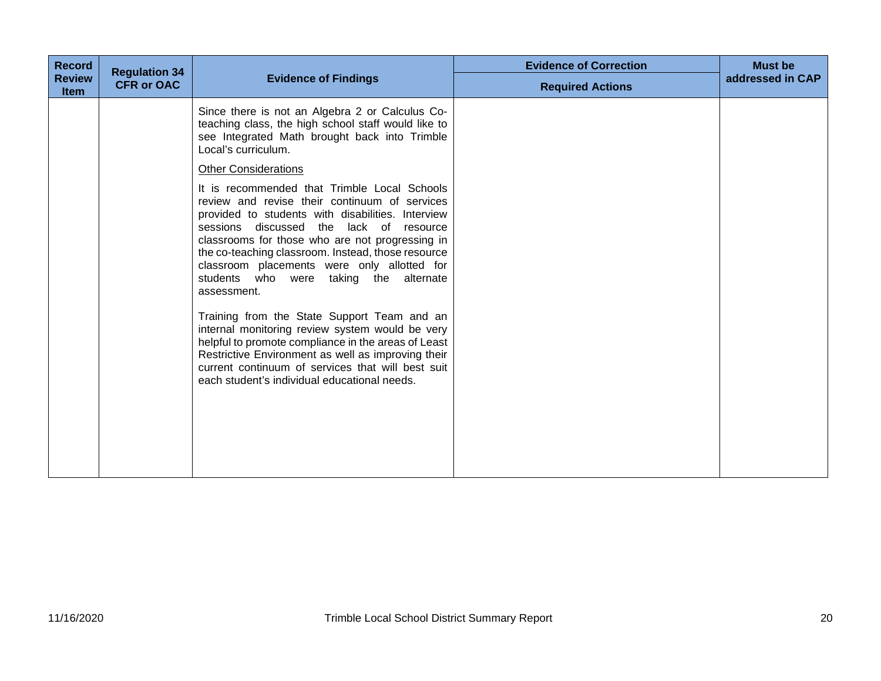| <b>Record</b>                | <b>Regulation 34</b> |                                                                                                                                                                                                                                                                                                                                                                                                                                                                                                                                                                                                                                                                                                                                          | <b>Evidence of Correction</b> | <b>Must be</b>   |
|------------------------------|----------------------|------------------------------------------------------------------------------------------------------------------------------------------------------------------------------------------------------------------------------------------------------------------------------------------------------------------------------------------------------------------------------------------------------------------------------------------------------------------------------------------------------------------------------------------------------------------------------------------------------------------------------------------------------------------------------------------------------------------------------------------|-------------------------------|------------------|
| <b>Review</b><br><b>Item</b> | <b>CFR or OAC</b>    | <b>Evidence of Findings</b>                                                                                                                                                                                                                                                                                                                                                                                                                                                                                                                                                                                                                                                                                                              | <b>Required Actions</b>       | addressed in CAP |
|                              |                      | Since there is not an Algebra 2 or Calculus Co-<br>teaching class, the high school staff would like to<br>see Integrated Math brought back into Trimble<br>Local's curriculum.                                                                                                                                                                                                                                                                                                                                                                                                                                                                                                                                                           |                               |                  |
|                              |                      | <b>Other Considerations</b>                                                                                                                                                                                                                                                                                                                                                                                                                                                                                                                                                                                                                                                                                                              |                               |                  |
|                              |                      | It is recommended that Trimble Local Schools<br>review and revise their continuum of services<br>provided to students with disabilities. Interview<br>sessions discussed<br>the<br>lack of resource<br>classrooms for those who are not progressing in<br>the co-teaching classroom. Instead, those resource<br>classroom placements were only allotted for<br>students who were taking the alternate<br>assessment.<br>Training from the State Support Team and an<br>internal monitoring review system would be very<br>helpful to promote compliance in the areas of Least<br>Restrictive Environment as well as improving their<br>current continuum of services that will best suit<br>each student's individual educational needs. |                               |                  |